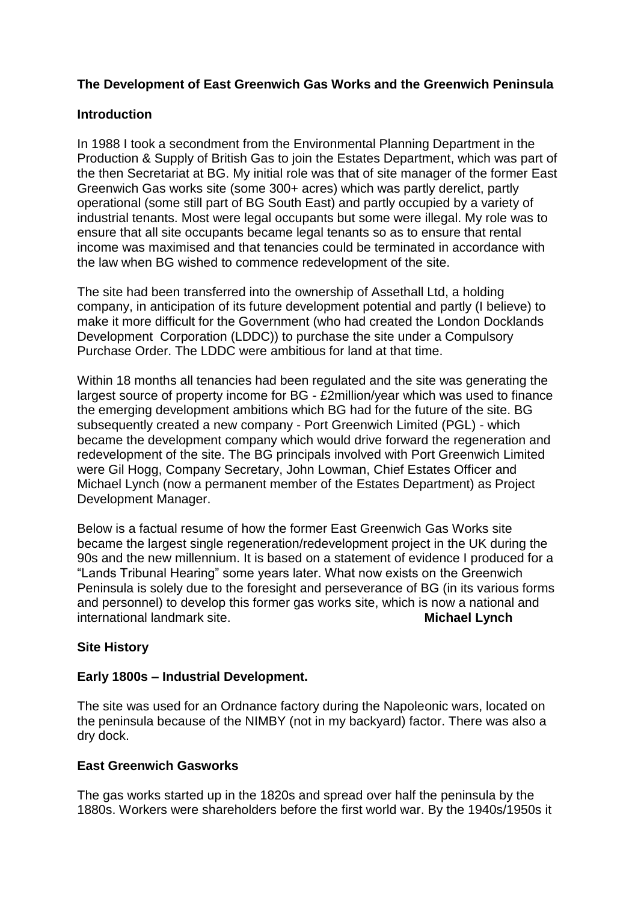# **The Development of East Greenwich Gas Works and the Greenwich Peninsula**

## **Introduction**

In 1988 I took a secondment from the Environmental Planning Department in the Production & Supply of British Gas to join the Estates Department, which was part of the then Secretariat at BG. My initial role was that of site manager of the former East Greenwich Gas works site (some 300+ acres) which was partly derelict, partly operational (some still part of BG South East) and partly occupied by a variety of industrial tenants. Most were legal occupants but some were illegal. My role was to ensure that all site occupants became legal tenants so as to ensure that rental income was maximised and that tenancies could be terminated in accordance with the law when BG wished to commence redevelopment of the site.

The site had been transferred into the ownership of Assethall Ltd, a holding company, in anticipation of its future development potential and partly (I believe) to make it more difficult for the Government (who had created the London Docklands Development Corporation (LDDC)) to purchase the site under a Compulsory Purchase Order. The LDDC were ambitious for land at that time.

Within 18 months all tenancies had been regulated and the site was generating the largest source of property income for BG - £2million/year which was used to finance the emerging development ambitions which BG had for the future of the site. BG subsequently created a new company - Port Greenwich Limited (PGL) - which became the development company which would drive forward the regeneration and redevelopment of the site. The BG principals involved with Port Greenwich Limited were Gil Hogg, Company Secretary, John Lowman, Chief Estates Officer and Michael Lynch (now a permanent member of the Estates Department) as Project Development Manager.

Below is a factual resume of how the former East Greenwich Gas Works site became the largest single regeneration/redevelopment project in the UK during the 90s and the new millennium. It is based on a statement of evidence I produced for a "Lands Tribunal Hearing" some years later. What now exists on the Greenwich Peninsula is solely due to the foresight and perseverance of BG (in its various forms and personnel) to develop this former gas works site, which is now a national and international landmark site. **Michael Lynch**

## **Site History**

## **Early 1800s – Industrial Development.**

The site was used for an Ordnance factory during the Napoleonic wars, located on the peninsula because of the NIMBY (not in my backyard) factor. There was also a dry dock.

## **East Greenwich Gasworks**

The gas works started up in the 1820s and spread over half the peninsula by the 1880s. Workers were shareholders before the first world war. By the 1940s/1950s it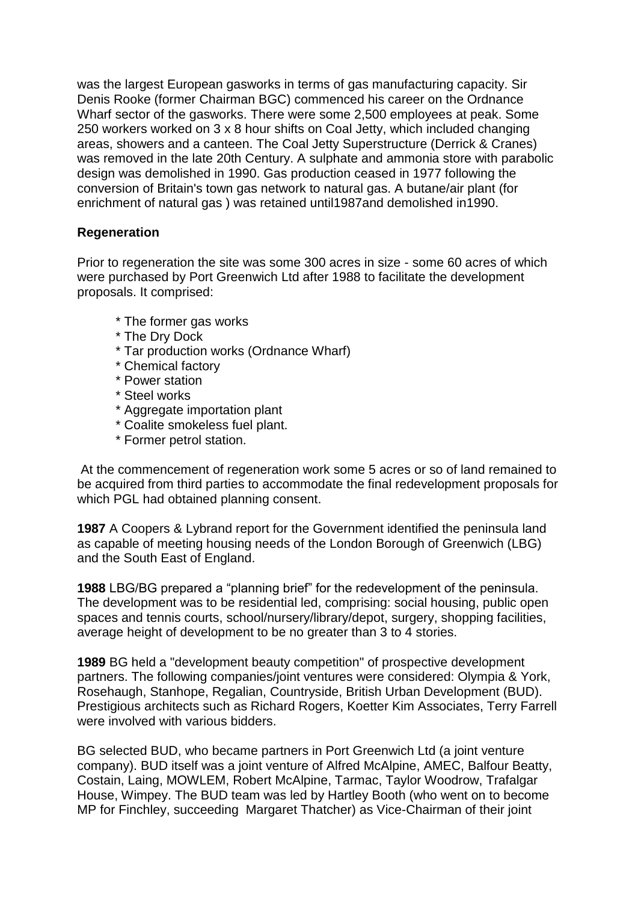was the largest European gasworks in terms of gas manufacturing capacity. Sir Denis Rooke (former Chairman BGC) commenced his career on the Ordnance Wharf sector of the gasworks. There were some 2,500 employees at peak. Some 250 workers worked on 3 x 8 hour shifts on Coal Jetty, which included changing areas, showers and a canteen. The Coal Jetty Superstructure (Derrick & Cranes) was removed in the late 20th Century. A sulphate and ammonia store with parabolic design was demolished in 1990. Gas production ceased in 1977 following the conversion of Britain's town gas network to natural gas. A butane/air plant (for enrichment of natural gas ) was retained until1987and demolished in1990.

## **Regeneration**

Prior to regeneration the site was some 300 acres in size - some 60 acres of which were purchased by Port Greenwich Ltd after 1988 to facilitate the development proposals. It comprised:

- \* The former gas works
- \* The Dry Dock
- \* Tar production works (Ordnance Wharf)
- \* Chemical factory
- \* Power station
- \* Steel works
- \* Aggregate importation plant
- \* Coalite smokeless fuel plant.
- \* Former petrol station.

At the commencement of regeneration work some 5 acres or so of land remained to be acquired from third parties to accommodate the final redevelopment proposals for which PGL had obtained planning consent.

**1987** A Coopers & Lybrand report for the Government identified the peninsula land as capable of meeting housing needs of the London Borough of Greenwich (LBG) and the South East of England.

**1988** LBG/BG prepared a "planning brief" for the redevelopment of the peninsula. The development was to be residential led, comprising: social housing, public open spaces and tennis courts, school/nursery/library/depot, surgery, shopping facilities, average height of development to be no greater than 3 to 4 stories.

**1989** BG held a "development beauty competition" of prospective development partners. The following companies/joint ventures were considered: Olympia & York, Rosehaugh, Stanhope, Regalian, Countryside, British Urban Development (BUD). Prestigious architects such as Richard Rogers, Koetter Kim Associates, Terry Farrell were involved with various bidders.

BG selected BUD, who became partners in Port Greenwich Ltd (a joint venture company). BUD itself was a joint venture of Alfred McAlpine, AMEC, Balfour Beatty, Costain, Laing, MOWLEM, Robert McAlpine, Tarmac, Taylor Woodrow, Trafalgar House, Wimpey. The BUD team was led by Hartley Booth (who went on to become MP for Finchley, succeeding Margaret Thatcher) as Vice-Chairman of their joint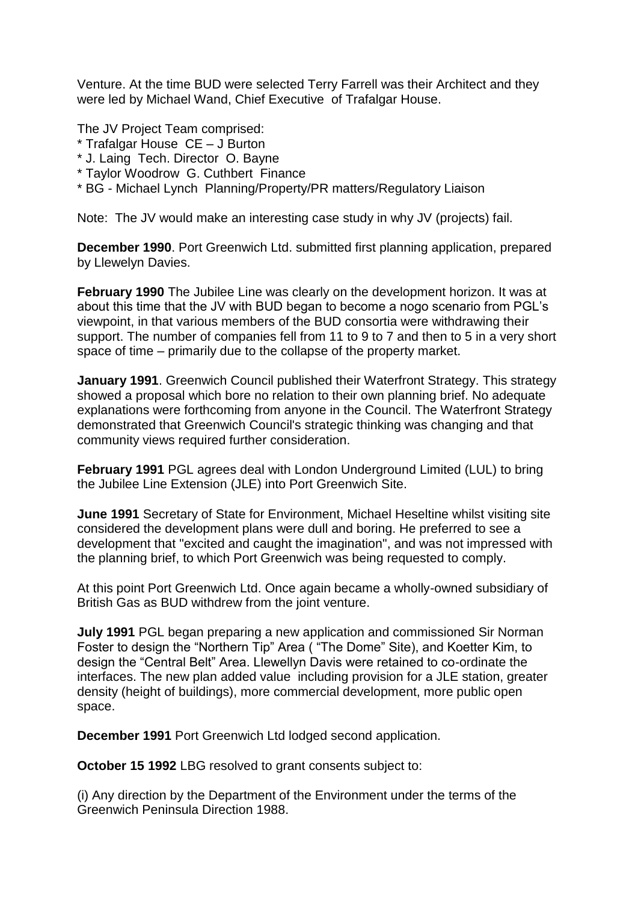Venture. At the time BUD were selected Terry Farrell was their Architect and they were led by Michael Wand, Chief Executive of Trafalgar House.

The JV Project Team comprised:

- \* Trafalgar House CE J Burton
- \* J. Laing Tech. Director O. Bayne
- \* Taylor Woodrow G. Cuthbert Finance
- \* BG Michael Lynch Planning/Property/PR matters/Regulatory Liaison

Note: The JV would make an interesting case study in why JV (projects) fail.

**December 1990**. Port Greenwich Ltd. submitted first planning application, prepared by Llewelyn Davies.

**February 1990** The Jubilee Line was clearly on the development horizon. It was at about this time that the JV with BUD began to become a nogo scenario from PGL's viewpoint, in that various members of the BUD consortia were withdrawing their support. The number of companies fell from 11 to 9 to 7 and then to 5 in a very short space of time – primarily due to the collapse of the property market.

**January 1991**. Greenwich Council published their Waterfront Strategy. This strategy showed a proposal which bore no relation to their own planning brief. No adequate explanations were forthcoming from anyone in the Council. The Waterfront Strategy demonstrated that Greenwich Council's strategic thinking was changing and that community views required further consideration.

**February 1991** PGL agrees deal with London Underground Limited (LUL) to bring the Jubilee Line Extension (JLE) into Port Greenwich Site.

**June 1991** Secretary of State for Environment, Michael Heseltine whilst visiting site considered the development plans were dull and boring. He preferred to see a development that "excited and caught the imagination", and was not impressed with the planning brief, to which Port Greenwich was being requested to comply.

At this point Port Greenwich Ltd. Once again became a wholly-owned subsidiary of British Gas as BUD withdrew from the joint venture.

**July 1991** PGL began preparing a new application and commissioned Sir Norman Foster to design the "Northern Tip" Area ( "The Dome" Site), and Koetter Kim, to design the "Central Belt" Area. Llewellyn Davis were retained to co-ordinate the interfaces. The new plan added value including provision for a JLE station, greater density (height of buildings), more commercial development, more public open space.

**December 1991** Port Greenwich Ltd lodged second application.

**October 15 1992** LBG resolved to grant consents subject to:

(i) Any direction by the Department of the Environment under the terms of the Greenwich Peninsula Direction 1988.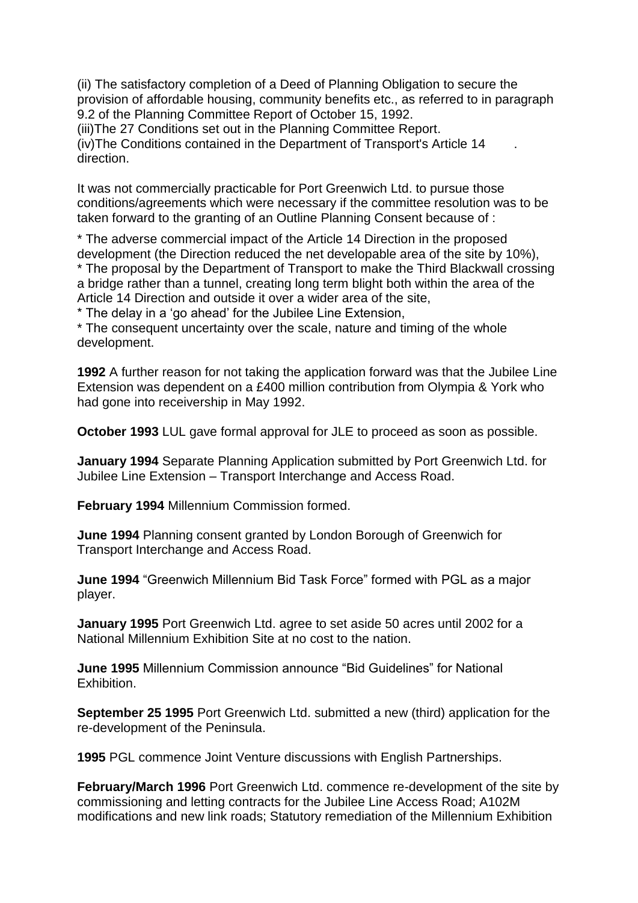(ii) The satisfactory completion of a Deed of Planning Obligation to secure the provision of affordable housing, community benefits etc., as referred to in paragraph 9.2 of the Planning Committee Report of October 15, 1992.

(iii)The 27 Conditions set out in the Planning Committee Report. (iv)The Conditions contained in the Department of Transport's Article 14 . direction.

It was not commercially practicable for Port Greenwich Ltd. to pursue those conditions/agreements which were necessary if the committee resolution was to be taken forward to the granting of an Outline Planning Consent because of :

\* The adverse commercial impact of the Article 14 Direction in the proposed development (the Direction reduced the net developable area of the site by 10%), \* The proposal by the Department of Transport to make the Third Blackwall crossing a bridge rather than a tunnel, creating long term blight both within the area of the Article 14 Direction and outside it over a wider area of the site,

\* The delay in a 'go ahead' for the Jubilee Line Extension,

\* The consequent uncertainty over the scale, nature and timing of the whole development.

**1992** A further reason for not taking the application forward was that the Jubilee Line Extension was dependent on a £400 million contribution from Olympia & York who had gone into receivership in May 1992.

**October 1993** LUL gave formal approval for JLE to proceed as soon as possible.

**January 1994** Separate Planning Application submitted by Port Greenwich Ltd. for Jubilee Line Extension – Transport Interchange and Access Road.

**February 1994** Millennium Commission formed.

**June 1994** Planning consent granted by London Borough of Greenwich for Transport Interchange and Access Road.

**June 1994** "Greenwich Millennium Bid Task Force" formed with PGL as a major player.

**January 1995** Port Greenwich Ltd. agree to set aside 50 acres until 2002 for a National Millennium Exhibition Site at no cost to the nation.

**June 1995** Millennium Commission announce "Bid Guidelines" for National Exhibition.

**September 25 1995** Port Greenwich Ltd. submitted a new (third) application for the re-development of the Peninsula.

**1995** PGL commence Joint Venture discussions with English Partnerships.

**February/March 1996** Port Greenwich Ltd. commence re-development of the site by commissioning and letting contracts for the Jubilee Line Access Road; A102M modifications and new link roads; Statutory remediation of the Millennium Exhibition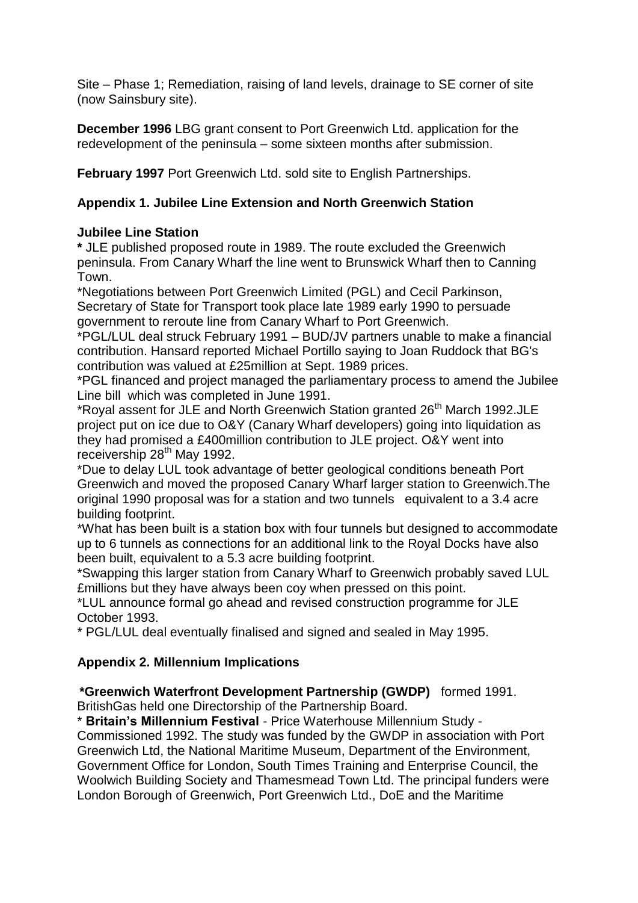Site – Phase 1; Remediation, raising of land levels, drainage to SE corner of site (now Sainsbury site).

**December 1996** LBG grant consent to Port Greenwich Ltd. application for the redevelopment of the peninsula – some sixteen months after submission.

**February 1997** Port Greenwich Ltd. sold site to English Partnerships.

# **Appendix 1. Jubilee Line Extension and North Greenwich Station**

# **Jubilee Line Station**

**\*** JLE published proposed route in 1989. The route excluded the Greenwich peninsula. From Canary Wharf the line went to Brunswick Wharf then to Canning Town.

\*Negotiations between Port Greenwich Limited (PGL) and Cecil Parkinson, Secretary of State for Transport took place late 1989 early 1990 to persuade government to reroute line from Canary Wharf to Port Greenwich.

\*PGL/LUL deal struck February 1991 – BUD/JV partners unable to make a financial contribution. Hansard reported Michael Portillo saying to Joan Ruddock that BG's contribution was valued at £25million at Sept. 1989 prices.

\*PGL financed and project managed the parliamentary process to amend the Jubilee Line bill which was completed in June 1991.

\*Royal assent for JLE and North Greenwich Station granted 26<sup>th</sup> March 1992.JLE project put on ice due to O&Y (Canary Wharf developers) going into liquidation as they had promised a £400million contribution to JLE project. O&Y went into receivership  $28<sup>th</sup>$  May 1992.

\*Due to delay LUL took advantage of better geological conditions beneath Port Greenwich and moved the proposed Canary Wharf larger station to Greenwich.The original 1990 proposal was for a station and two tunnels equivalent to a 3.4 acre building footprint.

\*What has been built is a station box with four tunnels but designed to accommodate up to 6 tunnels as connections for an additional link to the Royal Docks have also been built, equivalent to a 5.3 acre building footprint.

\*Swapping this larger station from Canary Wharf to Greenwich probably saved LUL £millions but they have always been coy when pressed on this point.

\*LUL announce formal go ahead and revised construction programme for JLE October 1993.

\* PGL/LUL deal eventually finalised and signed and sealed in May 1995.

# **Appendix 2. Millennium Implications**

 **\*Greenwich Waterfront Development Partnership (GWDP)** formed 1991. BritishGas held one Directorship of the Partnership Board.

\* **Britain's Millennium Festival** - Price Waterhouse Millennium Study - Commissioned 1992. The study was funded by the GWDP in association with Port Greenwich Ltd, the National Maritime Museum, Department of the Environment, Government Office for London, South Times Training and Enterprise Council, the Woolwich Building Society and Thamesmead Town Ltd. The principal funders were London Borough of Greenwich, Port Greenwich Ltd., DoE and the Maritime